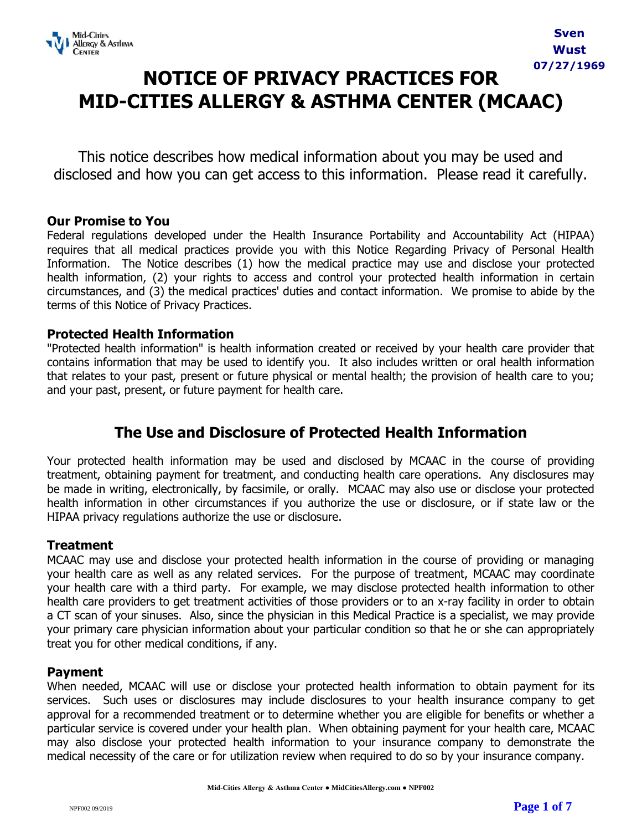

## **NOTICE OF PRIVACY PRACTICES FOR MID-CITIES ALLERGY & ASTHMA CENTER (MCAAC)**

This notice describes how medical information about you may be used and disclosed and how you can get access to this information. Please read it carefully.

## **Our Promise to You**

Federal regulations developed under the Health Insurance Portability and Accountability Act (HIPAA) requires that all medical practices provide you with this Notice Regarding Privacy of Personal Health Information. The Notice describes (1) how the medical practice may use and disclose your protected health information, (2) your rights to access and control your protected health information in certain circumstances, and (3) the medical practices' duties and contact information. We promise to abide by the terms of this Notice of Privacy Practices.

## **Protected Health Information**

"Protected health information" is health information created or received by your health care provider that contains information that may be used to identify you. It also includes written or oral health information that relates to your past, present or future physical or mental health; the provision of health care to you; and your past, present, or future payment for health care.

## **The Use and Disclosure of Protected Health Information**

Your protected health information may be used and disclosed by MCAAC in the course of providing treatment, obtaining payment for treatment, and conducting health care operations. Any disclosures may be made in writing, electronically, by facsimile, or orally. MCAAC may also use or disclose your protected health information in other circumstances if you authorize the use or disclosure, or if state law or the HIPAA privacy regulations authorize the use or disclosure.

#### **Treatment**

MCAAC may use and disclose your protected health information in the course of providing or managing your health care as well as any related services. For the purpose of treatment, MCAAC may coordinate your health care with a third party. For example, we may disclose protected health information to other health care providers to get treatment activities of those providers or to an x-ray facility in order to obtain a CT scan of your sinuses. Also, since the physician in this Medical Practice is a specialist, we may provide your primary care physician information about your particular condition so that he or she can appropriately treat you for other medical conditions, if any.

#### **Payment**

When needed, MCAAC will use or disclose your protected health information to obtain payment for its services. Such uses or disclosures may include disclosures to your health insurance company to get approval for a recommended treatment or to determine whether you are eligible for benefits or whether a particular service is covered under your health plan. When obtaining payment for your health care, MCAAC may also disclose your protected health information to your insurance company to demonstrate the medical necessity of the care or for utilization review when required to do so by your insurance company.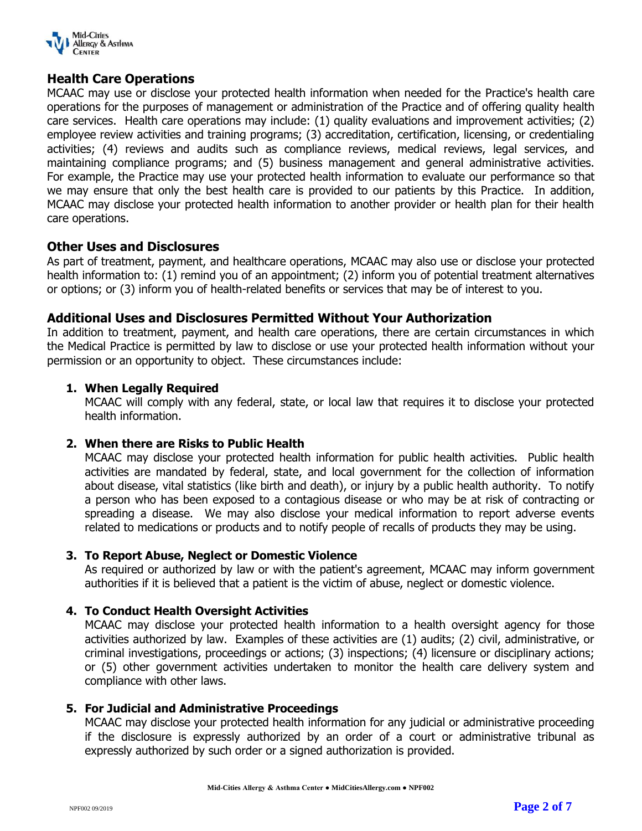

#### **Health Care Operations**

MCAAC may use or disclose your protected health information when needed for the Practice's health care operations for the purposes of management or administration of the Practice and of offering quality health care services. Health care operations may include: (1) quality evaluations and improvement activities; (2) employee review activities and training programs; (3) accreditation, certification, licensing, or credentialing activities; (4) reviews and audits such as compliance reviews, medical reviews, legal services, and maintaining compliance programs; and (5) business management and general administrative activities. For example, the Practice may use your protected health information to evaluate our performance so that we may ensure that only the best health care is provided to our patients by this Practice. In addition, MCAAC may disclose your protected health information to another provider or health plan for their health care operations.

#### **Other Uses and Disclosures**

As part of treatment, payment, and healthcare operations, MCAAC may also use or disclose your protected health information to: (1) remind you of an appointment; (2) inform you of potential treatment alternatives or options; or (3) inform you of health-related benefits or services that may be of interest to you.

#### **Additional Uses and Disclosures Permitted Without Your Authorization**

In addition to treatment, payment, and health care operations, there are certain circumstances in which the Medical Practice is permitted by law to disclose or use your protected health information without your permission or an opportunity to object. These circumstances include:

#### **1. When Legally Required**

MCAAC will comply with any federal, state, or local law that requires it to disclose your protected health information.

#### **2. When there are Risks to Public Health**

MCAAC may disclose your protected health information for public health activities. Public health activities are mandated by federal, state, and local government for the collection of information about disease, vital statistics (like birth and death), or injury by a public health authority. To notify a person who has been exposed to a contagious disease or who may be at risk of contracting or spreading a disease. We may also disclose your medical information to report adverse events related to medications or products and to notify people of recalls of products they may be using.

#### **3. To Report Abuse, Neglect or Domestic Violence**

As required or authorized by law or with the patient's agreement, MCAAC may inform government authorities if it is believed that a patient is the victim of abuse, neglect or domestic violence.

#### **4. To Conduct Health Oversight Activities**

MCAAC may disclose your protected health information to a health oversight agency for those activities authorized by law. Examples of these activities are (1) audits; (2) civil, administrative, or criminal investigations, proceedings or actions; (3) inspections; (4) licensure or disciplinary actions; or (5) other government activities undertaken to monitor the health care delivery system and compliance with other laws.

#### **5. For Judicial and Administrative Proceedings**

MCAAC may disclose your protected health information for any judicial or administrative proceeding if the disclosure is expressly authorized by an order of a court or administrative tribunal as expressly authorized by such order or a signed authorization is provided.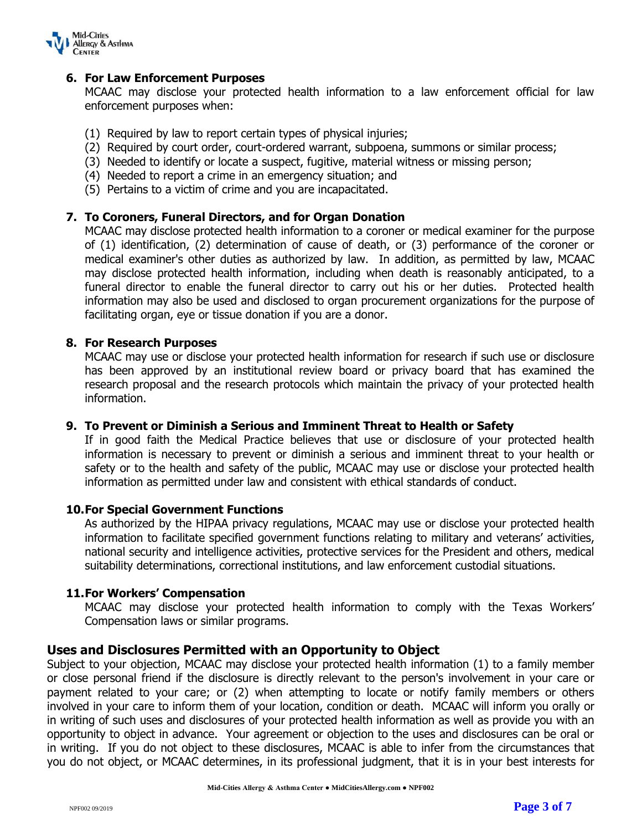

#### **6. For Law Enforcement Purposes**

MCAAC may disclose your protected health information to a law enforcement official for law enforcement purposes when:

- (1) Required by law to report certain types of physical injuries;
- (2) Required by court order, court-ordered warrant, subpoena, summons or similar process;
- (3) Needed to identify or locate a suspect, fugitive, material witness or missing person;
- (4) Needed to report a crime in an emergency situation; and
- (5) Pertains to a victim of crime and you are incapacitated.

#### **7. To Coroners, Funeral Directors, and for Organ Donation**

MCAAC may disclose protected health information to a coroner or medical examiner for the purpose of (1) identification, (2) determination of cause of death, or (3) performance of the coroner or medical examiner's other duties as authorized by law. In addition, as permitted by law, MCAAC may disclose protected health information, including when death is reasonably anticipated, to a funeral director to enable the funeral director to carry out his or her duties. Protected health information may also be used and disclosed to organ procurement organizations for the purpose of facilitating organ, eye or tissue donation if you are a donor.

#### **8. For Research Purposes**

MCAAC may use or disclose your protected health information for research if such use or disclosure has been approved by an institutional review board or privacy board that has examined the research proposal and the research protocols which maintain the privacy of your protected health information.

#### **9. To Prevent or Diminish a Serious and Imminent Threat to Health or Safety**

If in good faith the Medical Practice believes that use or disclosure of your protected health information is necessary to prevent or diminish a serious and imminent threat to your health or safety or to the health and safety of the public, MCAAC may use or disclose your protected health information as permitted under law and consistent with ethical standards of conduct.

#### **10.For Special Government Functions**

As authorized by the HIPAA privacy regulations, MCAAC may use or disclose your protected health information to facilitate specified government functions relating to military and veterans' activities, national security and intelligence activities, protective services for the President and others, medical suitability determinations, correctional institutions, and law enforcement custodial situations.

#### **11.For Workers' Compensation**

MCAAC may disclose your protected health information to comply with the Texas Workers' Compensation laws or similar programs.

#### **Uses and Disclosures Permitted with an Opportunity to Object**

Subject to your objection, MCAAC may disclose your protected health information (1) to a family member or close personal friend if the disclosure is directly relevant to the person's involvement in your care or payment related to your care; or (2) when attempting to locate or notify family members or others involved in your care to inform them of your location, condition or death. MCAAC will inform you orally or in writing of such uses and disclosures of your protected health information as well as provide you with an opportunity to object in advance. Your agreement or objection to the uses and disclosures can be oral or in writing. If you do not object to these disclosures, MCAAC is able to infer from the circumstances that you do not object, or MCAAC determines, in its professional judgment, that it is in your best interests for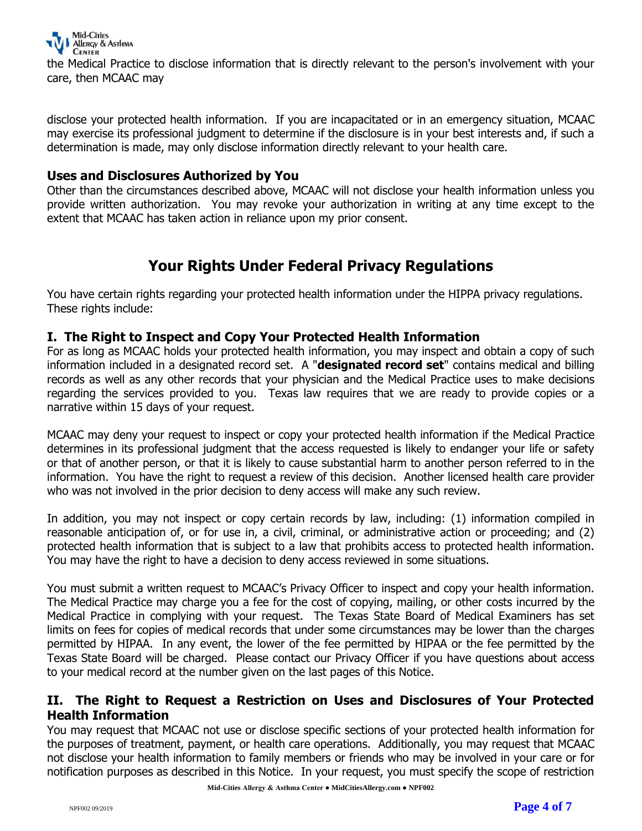

the Medical Practice to disclose information that is directly relevant to the person's involvement with your care, then MCAAC may

disclose your protected health information. If you are incapacitated or in an emergency situation, MCAAC may exercise its professional judgment to determine if the disclosure is in your best interests and, if such a determination is made, may only disclose information directly relevant to your health care.

#### **Uses and Disclosures Authorized by You**

Other than the circumstances described above, MCAAC will not disclose your health information unless you provide written authorization. You may revoke your authorization in writing at any time except to the extent that MCAAC has taken action in reliance upon my prior consent.

## **Your Rights Under Federal Privacy Regulations**

You have certain rights regarding your protected health information under the HIPPA privacy regulations. These rights include:

#### **I. The Right to Inspect and Copy Your Protected Health Information**

For as long as MCAAC holds your protected health information, you may inspect and obtain a copy of such information included in a designated record set. A "**designated record set**" contains medical and billing records as well as any other records that your physician and the Medical Practice uses to make decisions regarding the services provided to you. Texas law requires that we are ready to provide copies or a narrative within 15 days of your request.

MCAAC may deny your request to inspect or copy your protected health information if the Medical Practice determines in its professional judgment that the access requested is likely to endanger your life or safety or that of another person, or that it is likely to cause substantial harm to another person referred to in the information. You have the right to request a review of this decision. Another licensed health care provider who was not involved in the prior decision to deny access will make any such review.

In addition, you may not inspect or copy certain records by law, including: (1) information compiled in reasonable anticipation of, or for use in, a civil, criminal, or administrative action or proceeding; and (2) protected health information that is subject to a law that prohibits access to protected health information. You may have the right to have a decision to deny access reviewed in some situations.

You must submit a written request to MCAAC's Privacy Officer to inspect and copy your health information. The Medical Practice may charge you a fee for the cost of copying, mailing, or other costs incurred by the Medical Practice in complying with your request. The Texas State Board of Medical Examiners has set limits on fees for copies of medical records that under some circumstances may be lower than the charges permitted by HIPAA. In any event, the lower of the fee permitted by HIPAA or the fee permitted by the Texas State Board will be charged. Please contact our Privacy Officer if you have questions about access to your medical record at the number given on the last pages of this Notice.

#### **II. The Right to Request a Restriction on Uses and Disclosures of Your Protected Health Information**

You may request that MCAAC not use or disclose specific sections of your protected health information for the purposes of treatment, payment, or health care operations. Additionally, you may request that MCAAC not disclose your health information to family members or friends who may be involved in your care or for notification purposes as described in this Notice. In your request, you must specify the scope of restriction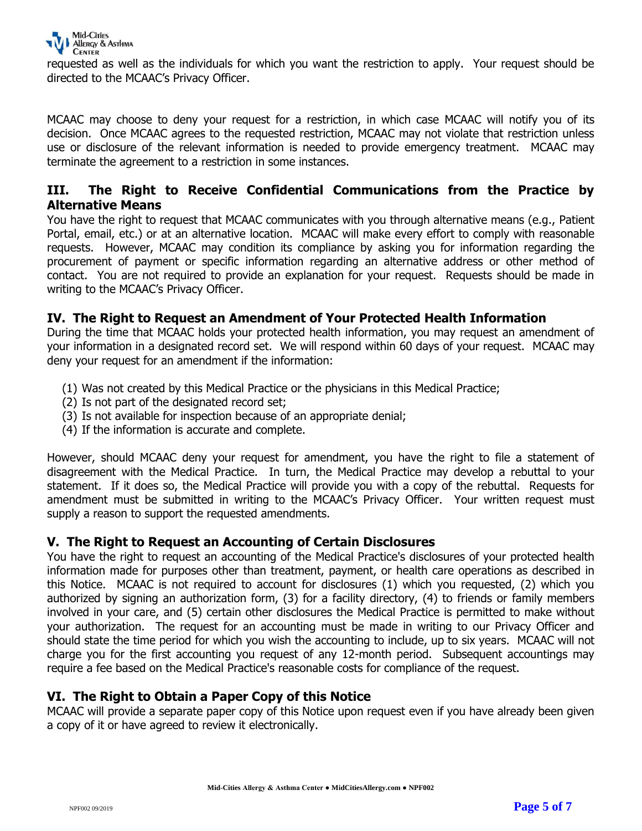

requested as well as the individuals for which you want the restriction to apply. Your request should be directed to the MCAAC's Privacy Officer.

MCAAC may choose to deny your request for a restriction, in which case MCAAC will notify you of its decision. Once MCAAC agrees to the requested restriction, MCAAC may not violate that restriction unless use or disclosure of the relevant information is needed to provide emergency treatment. MCAAC may terminate the agreement to a restriction in some instances.

#### **III. The Right to Receive Confidential Communications from the Practice by Alternative Means**

You have the right to request that MCAAC communicates with you through alternative means (e.g., Patient Portal, email, etc.) or at an alternative location. MCAAC will make every effort to comply with reasonable requests. However, MCAAC may condition its compliance by asking you for information regarding the procurement of payment or specific information regarding an alternative address or other method of contact. You are not required to provide an explanation for your request. Requests should be made in writing to the MCAAC's Privacy Officer.

#### **IV. The Right to Request an Amendment of Your Protected Health Information**

During the time that MCAAC holds your protected health information, you may request an amendment of your information in a designated record set. We will respond within 60 days of your request. MCAAC may deny your request for an amendment if the information:

- (1) Was not created by this Medical Practice or the physicians in this Medical Practice;
- (2) Is not part of the designated record set;
- (3) Is not available for inspection because of an appropriate denial;
- (4) If the information is accurate and complete.

However, should MCAAC deny your request for amendment, you have the right to file a statement of disagreement with the Medical Practice. In turn, the Medical Practice may develop a rebuttal to your statement. If it does so, the Medical Practice will provide you with a copy of the rebuttal. Requests for amendment must be submitted in writing to the MCAAC's Privacy Officer. Your written request must supply a reason to support the requested amendments.

#### **V. The Right to Request an Accounting of Certain Disclosures**

You have the right to request an accounting of the Medical Practice's disclosures of your protected health information made for purposes other than treatment, payment, or health care operations as described in this Notice. MCAAC is not required to account for disclosures (1) which you requested, (2) which you authorized by signing an authorization form, (3) for a facility directory, (4) to friends or family members involved in your care, and (5) certain other disclosures the Medical Practice is permitted to make without your authorization. The request for an accounting must be made in writing to our Privacy Officer and should state the time period for which you wish the accounting to include, up to six years. MCAAC will not charge you for the first accounting you request of any 12-month period. Subsequent accountings may require a fee based on the Medical Practice's reasonable costs for compliance of the request.

#### **VI. The Right to Obtain a Paper Copy of this Notice**

MCAAC will provide a separate paper copy of this Notice upon request even if you have already been given a copy of it or have agreed to review it electronically.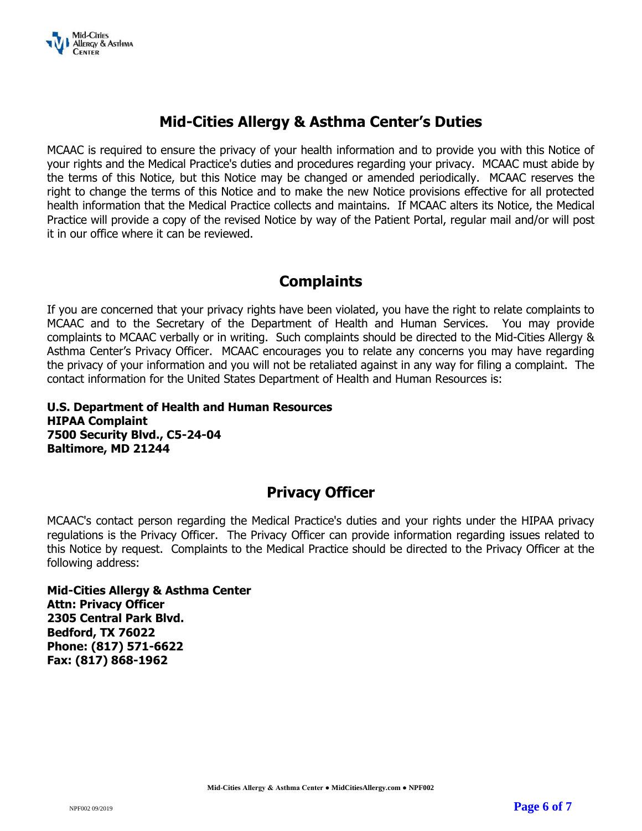

## **Mid-Cities Allergy & Asthma Center's Duties**

MCAAC is required to ensure the privacy of your health information and to provide you with this Notice of your rights and the Medical Practice's duties and procedures regarding your privacy. MCAAC must abide by the terms of this Notice, but this Notice may be changed or amended periodically. MCAAC reserves the right to change the terms of this Notice and to make the new Notice provisions effective for all protected health information that the Medical Practice collects and maintains. If MCAAC alters its Notice, the Medical Practice will provide a copy of the revised Notice by way of the Patient Portal, regular mail and/or will post it in our office where it can be reviewed.

## **Complaints**

If you are concerned that your privacy rights have been violated, you have the right to relate complaints to MCAAC and to the Secretary of the Department of Health and Human Services. You may provide complaints to MCAAC verbally or in writing. Such complaints should be directed to the Mid-Cities Allergy & Asthma Center's Privacy Officer. MCAAC encourages you to relate any concerns you may have regarding the privacy of your information and you will not be retaliated against in any way for filing a complaint. The contact information for the United States Department of Health and Human Resources is:

**U.S. Department of Health and Human Resources HIPAA Complaint 7500 Security Blvd., C5-24-04 Baltimore, MD 21244**

## **Privacy Officer**

MCAAC's contact person regarding the Medical Practice's duties and your rights under the HIPAA privacy regulations is the Privacy Officer. The Privacy Officer can provide information regarding issues related to this Notice by request. Complaints to the Medical Practice should be directed to the Privacy Officer at the following address:

**Mid-Cities Allergy & Asthma Center Attn: Privacy Officer 2305 Central Park Blvd. Bedford, TX 76022 Phone: (817) 571-6622 Fax: (817) 868-1962**